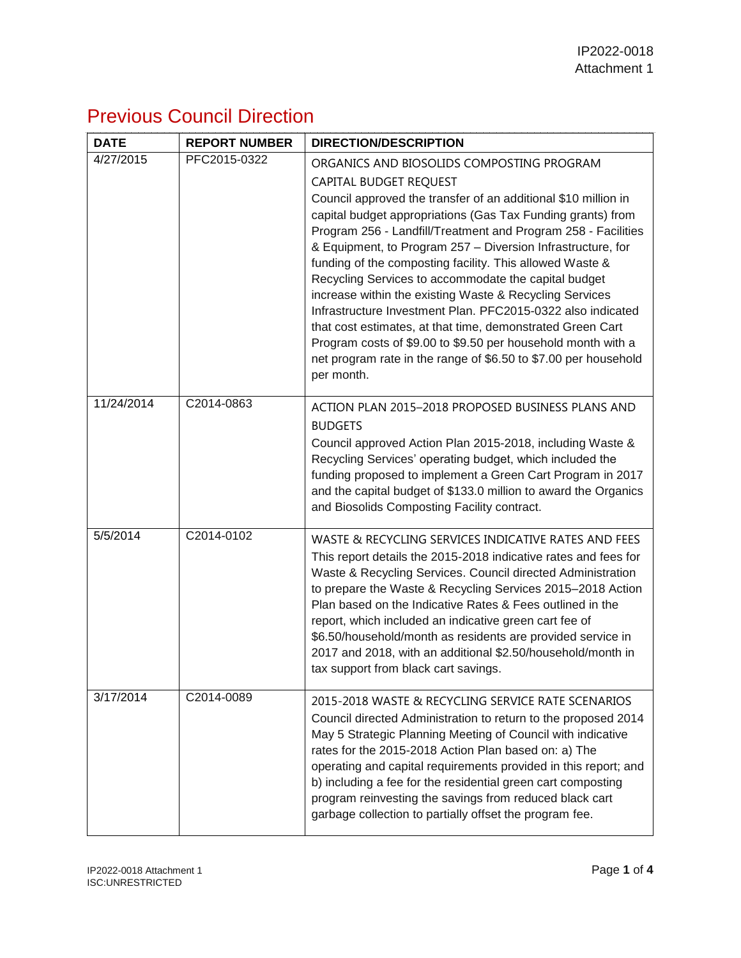## Previous Council Direction

| <b>DATE</b> | <b>REPORT NUMBER</b> | <b>DIRECTION/DESCRIPTION</b>                                                                                                                                                                                                                                                                                                                                                                                                                                                                                                                                                                                                                                                                                                                                                                      |
|-------------|----------------------|---------------------------------------------------------------------------------------------------------------------------------------------------------------------------------------------------------------------------------------------------------------------------------------------------------------------------------------------------------------------------------------------------------------------------------------------------------------------------------------------------------------------------------------------------------------------------------------------------------------------------------------------------------------------------------------------------------------------------------------------------------------------------------------------------|
| 4/27/2015   | PFC2015-0322         | ORGANICS AND BIOSOLIDS COMPOSTING PROGRAM<br>CAPITAL BUDGET REQUEST<br>Council approved the transfer of an additional \$10 million in<br>capital budget appropriations (Gas Tax Funding grants) from<br>Program 256 - Landfill/Treatment and Program 258 - Facilities<br>& Equipment, to Program 257 - Diversion Infrastructure, for<br>funding of the composting facility. This allowed Waste &<br>Recycling Services to accommodate the capital budget<br>increase within the existing Waste & Recycling Services<br>Infrastructure Investment Plan. PFC2015-0322 also indicated<br>that cost estimates, at that time, demonstrated Green Cart<br>Program costs of \$9.00 to \$9.50 per household month with a<br>net program rate in the range of \$6.50 to \$7.00 per household<br>per month. |
| 11/24/2014  | C2014-0863           | ACTION PLAN 2015-2018 PROPOSED BUSINESS PLANS AND<br><b>BUDGETS</b><br>Council approved Action Plan 2015-2018, including Waste &<br>Recycling Services' operating budget, which included the<br>funding proposed to implement a Green Cart Program in 2017<br>and the capital budget of \$133.0 million to award the Organics<br>and Biosolids Composting Facility contract.                                                                                                                                                                                                                                                                                                                                                                                                                      |
| 5/5/2014    | C2014-0102           | WASTE & RECYCLING SERVICES INDICATIVE RATES AND FEES<br>This report details the 2015-2018 indicative rates and fees for<br>Waste & Recycling Services. Council directed Administration<br>to prepare the Waste & Recycling Services 2015-2018 Action<br>Plan based on the Indicative Rates & Fees outlined in the<br>report, which included an indicative green cart fee of<br>\$6.50/household/month as residents are provided service in<br>2017 and 2018, with an additional \$2.50/household/month in<br>tax support from black cart savings.                                                                                                                                                                                                                                                 |
| 3/17/2014   | C2014-0089           | 2015-2018 WASTE & RECYCLING SERVICE RATE SCENARIOS<br>Council directed Administration to return to the proposed 2014<br>May 5 Strategic Planning Meeting of Council with indicative<br>rates for the 2015-2018 Action Plan based on: a) The<br>operating and capital requirements provided in this report; and<br>b) including a fee for the residential green cart composting<br>program reinvesting the savings from reduced black cart<br>garbage collection to partially offset the program fee.                                                                                                                                                                                                                                                                                              |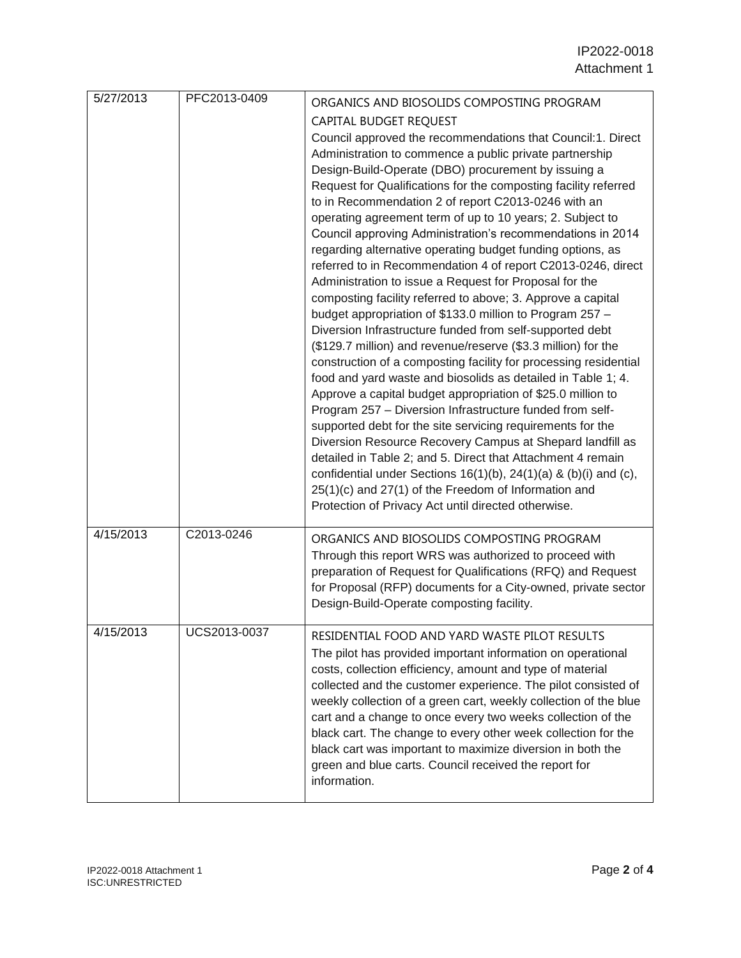| 5/27/2013 | PFC2013-0409 | ORGANICS AND BIOSOLIDS COMPOSTING PROGRAM<br>CAPITAL BUDGET REQUEST<br>Council approved the recommendations that Council:1. Direct<br>Administration to commence a public private partnership<br>Design-Build-Operate (DBO) procurement by issuing a<br>Request for Qualifications for the composting facility referred<br>to in Recommendation 2 of report C2013-0246 with an<br>operating agreement term of up to 10 years; 2. Subject to<br>Council approving Administration's recommendations in 2014<br>regarding alternative operating budget funding options, as<br>referred to in Recommendation 4 of report C2013-0246, direct<br>Administration to issue a Request for Proposal for the<br>composting facility referred to above; 3. Approve a capital<br>budget appropriation of \$133.0 million to Program 257 -<br>Diversion Infrastructure funded from self-supported debt<br>(\$129.7 million) and revenue/reserve (\$3.3 million) for the<br>construction of a composting facility for processing residential<br>food and yard waste and biosolids as detailed in Table 1; 4.<br>Approve a capital budget appropriation of \$25.0 million to<br>Program 257 - Diversion Infrastructure funded from self-<br>supported debt for the site servicing requirements for the<br>Diversion Resource Recovery Campus at Shepard landfill as<br>detailed in Table 2; and 5. Direct that Attachment 4 remain<br>confidential under Sections $16(1)(b)$ , $24(1)(a)$ & $(b)(i)$ and $(c)$ ,<br>25(1)(c) and 27(1) of the Freedom of Information and<br>Protection of Privacy Act until directed otherwise. |
|-----------|--------------|-----------------------------------------------------------------------------------------------------------------------------------------------------------------------------------------------------------------------------------------------------------------------------------------------------------------------------------------------------------------------------------------------------------------------------------------------------------------------------------------------------------------------------------------------------------------------------------------------------------------------------------------------------------------------------------------------------------------------------------------------------------------------------------------------------------------------------------------------------------------------------------------------------------------------------------------------------------------------------------------------------------------------------------------------------------------------------------------------------------------------------------------------------------------------------------------------------------------------------------------------------------------------------------------------------------------------------------------------------------------------------------------------------------------------------------------------------------------------------------------------------------------------------------------------------------------------------------------------------------------|
| 4/15/2013 | C2013-0246   | ORGANICS AND BIOSOLIDS COMPOSTING PROGRAM<br>Through this report WRS was authorized to proceed with<br>preparation of Request for Qualifications (RFQ) and Request<br>for Proposal (RFP) documents for a City-owned, private sector<br>Design-Build-Operate composting facility.                                                                                                                                                                                                                                                                                                                                                                                                                                                                                                                                                                                                                                                                                                                                                                                                                                                                                                                                                                                                                                                                                                                                                                                                                                                                                                                                |
| 4/15/2013 | UCS2013-0037 | RESIDENTIAL FOOD AND YARD WASTE PILOT RESULTS<br>The pilot has provided important information on operational<br>costs, collection efficiency, amount and type of material<br>collected and the customer experience. The pilot consisted of<br>weekly collection of a green cart, weekly collection of the blue<br>cart and a change to once every two weeks collection of the<br>black cart. The change to every other week collection for the<br>black cart was important to maximize diversion in both the<br>green and blue carts. Council received the report for<br>information.                                                                                                                                                                                                                                                                                                                                                                                                                                                                                                                                                                                                                                                                                                                                                                                                                                                                                                                                                                                                                           |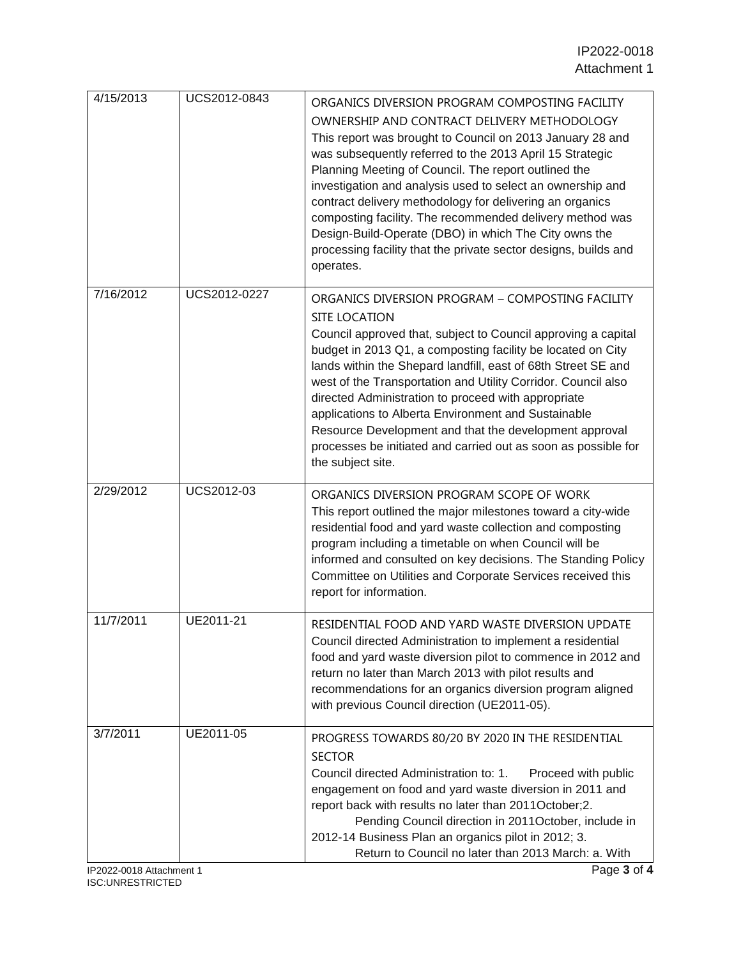| 4/15/2013                            | UCS2012-0843 | ORGANICS DIVERSION PROGRAM COMPOSTING FACILITY<br>OWNERSHIP AND CONTRACT DELIVERY METHODOLOGY<br>This report was brought to Council on 2013 January 28 and<br>was subsequently referred to the 2013 April 15 Strategic<br>Planning Meeting of Council. The report outlined the<br>investigation and analysis used to select an ownership and<br>contract delivery methodology for delivering an organics<br>composting facility. The recommended delivery method was<br>Design-Build-Operate (DBO) in which The City owns the<br>processing facility that the private sector designs, builds and<br>operates. |
|--------------------------------------|--------------|---------------------------------------------------------------------------------------------------------------------------------------------------------------------------------------------------------------------------------------------------------------------------------------------------------------------------------------------------------------------------------------------------------------------------------------------------------------------------------------------------------------------------------------------------------------------------------------------------------------|
| 7/16/2012                            | UCS2012-0227 | ORGANICS DIVERSION PROGRAM - COMPOSTING FACILITY<br><b>SITE LOCATION</b><br>Council approved that, subject to Council approving a capital<br>budget in 2013 Q1, a composting facility be located on City<br>lands within the Shepard landfill, east of 68th Street SE and<br>west of the Transportation and Utility Corridor. Council also<br>directed Administration to proceed with appropriate<br>applications to Alberta Environment and Sustainable<br>Resource Development and that the development approval<br>processes be initiated and carried out as soon as possible for<br>the subject site.     |
| 2/29/2012                            | UCS2012-03   | ORGANICS DIVERSION PROGRAM SCOPE OF WORK<br>This report outlined the major milestones toward a city-wide<br>residential food and yard waste collection and composting<br>program including a timetable on when Council will be<br>informed and consulted on key decisions. The Standing Policy<br>Committee on Utilities and Corporate Services received this<br>report for information.                                                                                                                                                                                                                      |
| 11/7/2011                            | UE2011-21    | RESIDENTIAL FOOD AND YARD WASTE DIVERSION UPDATE<br>Council directed Administration to implement a residential<br>food and yard waste diversion pilot to commence in 2012 and<br>return no later than March 2013 with pilot results and<br>recommendations for an organics diversion program aligned<br>with previous Council direction (UE2011-05).                                                                                                                                                                                                                                                          |
| 3/7/2011<br>IP2022-0018 Attachment 1 | UE2011-05    | PROGRESS TOWARDS 80/20 BY 2020 IN THE RESIDENTIAL<br><b>SECTOR</b><br>Council directed Administration to: 1.<br>Proceed with public<br>engagement on food and yard waste diversion in 2011 and<br>report back with results no later than 2011October;2.<br>Pending Council direction in 2011October, include in<br>2012-14 Business Plan an organics pilot in 2012; 3.<br>Return to Council no later than 2013 March: a. With<br>Page 3 of 4                                                                                                                                                                  |